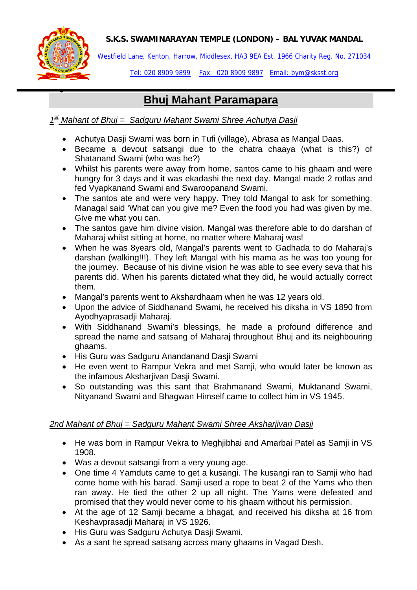

•

Westfield Lane, Kenton, Harrow, Middlesex, HA3 9EA Est. 1966 Charity Reg. No. 271034

Tel: 020 8909 9899 Fax: 020 8909 9897 Email: bym@sksst.org

# **Bhuj Mahant Paramapara**

*1st Mahant of Bhuj = Sadguru Mahant Swami Shree Achutya Dasji* 

- Achutya Dasji Swami was born in Tufi (village), Abrasa as Mangal Daas.
- Became a devout satsangi due to the chatra chaaya (what is this?) of Shatanand Swami (who was he?)
- Whilst his parents were away from home, santos came to his ghaam and were hungry for 3 days and it was ekadashi the next day. Mangal made 2 rotlas and fed Vyapkanand Swami and Swaroopanand Swami.
- The santos ate and were very happy. They told Mangal to ask for something. Managal said 'What can you give me? Even the food you had was given by me. Give me what you can.
- The santos gave him divine vision. Mangal was therefore able to do darshan of Maharaj whilst sitting at home, no matter where Maharaj was!
- When he was 8years old, Mangal's parents went to Gadhada to do Maharaj's darshan (walking!!!). They left Mangal with his mama as he was too young for the journey. Because of his divine vision he was able to see every seva that his parents did. When his parents dictated what they did, he would actually correct them.
- Mangal's parents went to Akshardhaam when he was 12 years old.
- Upon the advice of Siddhanand Swami, he received his diksha in VS 1890 from Ayodhyaprasadji Maharaj.
- With Siddhanand Swami's blessings, he made a profound difference and spread the name and satsang of Maharaj throughout Bhuj and its neighbouring ghaams.
- His Guru was Sadguru Anandanand Dasji Swami
- He even went to Rampur Vekra and met Samji, who would later be known as the infamous Aksharjivan Dasji Swami.
- So outstanding was this sant that Brahmanand Swami, Muktanand Swami, Nityanand Swami and Bhagwan Himself came to collect him in VS 1945.

# *2nd Mahant of Bhuj = Sadguru Mahant Swami Shree Aksharjivan Dasji*

- He was born in Rampur Vekra to Meghiibhai and Amarbai Patel as Samii in VS 1908.
- Was a devout satsangi from a very young age.
- One time 4 Yamduts came to get a kusangi. The kusangi ran to Samji who had come home with his barad. Samji used a rope to beat  $2$  of the Yams who then ran away. He tied the other 2 up all night. The Yams were defeated and promised that they would never come to his ghaam without his permission.
- At the age of 12 Samji became a bhagat, and received his diksha at 16 from Keshavprasadji Maharaj in VS 1926.
- His Guru was Sadguru Achutya Dasji Swami.
- As a sant he spread satsang across many ghaams in Vagad Desh.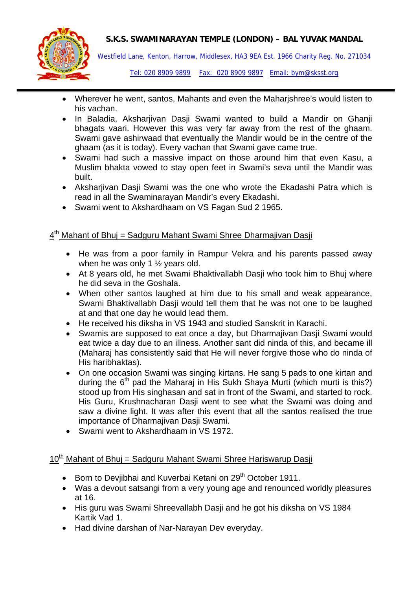

Westfield Lane, Kenton, Harrow, Middlesex, HA3 9EA Est. 1966 Charity Reg. No. 271034

Tel: 020 8909 9899 Fax: 020 8909 9897 Email: bym@sksst.org

- Wherever he went, santos, Mahants and even the Maharjshree's would listen to his vachan.
- In Baladia, Aksharjivan Dasji Swami wanted to build a Mandir on Ghanji bhagats vaari. However this was very far away from the rest of the ghaam. Swami gave ashirwaad that eventually the Mandir would be in the centre of the ghaam (as it is today). Every vachan that Swami gave came true.
- Swami had such a massive impact on those around him that even Kasu, a Muslim bhakta vowed to stay open feet in Swami's seva until the Mandir was built.
- Aksharjivan Dasji Swami was the one who wrote the Ekadashi Patra which is read in all the Swaminarayan Mandir's every Ekadashi.
- Swami went to Akshardhaam on VS Fagan Sud 2 1965.

## $4<sup>th</sup>$  Mahant of Bhuj = Sadguru Mahant Swami Shree Dharmajivan Dasji

- He was from a poor family in Rampur Vekra and his parents passed away when he was only 1 ½ years old.
- At 8 years old, he met Swami Bhaktivallabh Dasji who took him to Bhuj where he did seva in the Goshala.
- When other santos laughed at him due to his small and weak appearance, Swami Bhaktivallabh Dasji would tell them that he was not one to be laughed at and that one day he would lead them.
- He received his diksha in VS 1943 and studied Sanskrit in Karachi.
- Swamis are supposed to eat once a day, but Dharmajivan Dasji Swami would eat twice a day due to an illness. Another sant did ninda of this, and became ill (Maharaj has consistently said that He will never forgive those who do ninda of His haribhaktas).
- On one occasion Swami was singing kirtans. He sang 5 pads to one kirtan and during the  $6<sup>th</sup>$  pad the Maharaj in His Sukh Shaya Murti (which murti is this?) stood up from His singhasan and sat in front of the Swami, and started to rock. His Guru, Krushnacharan Dasji went to see what the Swami was doing and saw a divine light. It was after this event that all the santos realised the true importance of Dharmajivan Dasji Swami.
- Swami went to Akshardhaam in VS 1972.

## 10<sup>th</sup> Mahant of Bhuj = Sadguru Mahant Swami Shree Hariswarup Dasji

- Born to Deviibhai and Kuverbai Ketani on 29<sup>th</sup> October 1911.
- Was a devout satsangi from a very young age and renounced worldly pleasures at 16.
- His guru was Swami Shreevallabh Dasji and he got his diksha on VS 1984 Kartik Vad 1.
- Had divine darshan of Nar-Narayan Dev everyday.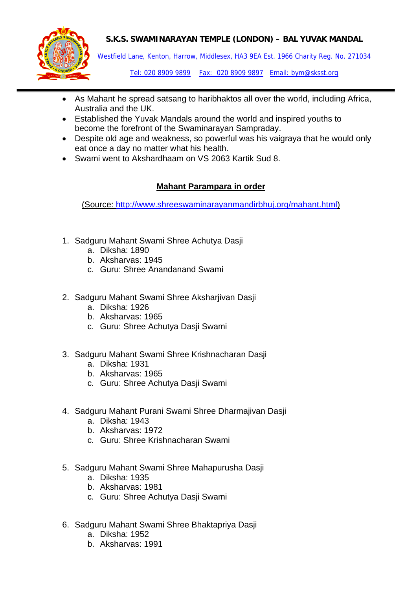

Westfield Lane, Kenton, Harrow, Middlesex, HA3 9EA Est. 1966 Charity Reg. No. 271034

Tel: 020 8909 9899 Fax: 020 8909 9897 Email: bym@sksst.org

- As Mahant he spread satsang to haribhaktos all over the world, including Africa, Australia and the UK.
- Established the Yuvak Mandals around the world and inspired youths to become the forefront of the Swaminarayan Sampraday.
- Despite old age and weakness, so powerful was his vaigraya that he would only eat once a day no matter what his health.
- Swami went to Akshardhaam on VS 2063 Kartik Sud 8.

## **Mahant Parampara in order**

(Source: [http://www.shreeswaminarayanmandirbhuj.org/mahant.html\)](http://www.shreeswaminarayanmandirbhuj.org/mahant.html)

- 1. Sadguru Mahant Swami Shree Achutya Dasji
	- a. Diksha: 1890
	- b. Aksharvas: 1945
	- c. Guru: Shree Anandanand Swami
- 2. Sadguru Mahant Swami Shree Aksharjivan Dasji
	- a. Diksha: 1926
	- b. Aksharvas: 1965
	- c. Guru: Shree Achutya Dasji Swami
- 3. Sadguru Mahant Swami Shree Krishnacharan Dasji
	- a. Diksha: 1931
	- b. Aksharvas: 1965
	- c. Guru: Shree Achutya Dasji Swami
- 4. Sadguru Mahant Purani Swami Shree Dharmajivan Dasji
	- a. Diksha: 1943
	- b. Aksharvas: 1972
	- c. Guru: Shree Krishnacharan Swami
- 5. Sadguru Mahant Swami Shree Mahapurusha Dasji
	- a. Diksha: 1935
	- b. Aksharvas: 1981
	- c. Guru: Shree Achutya Dasji Swami
- 6. Sadguru Mahant Swami Shree Bhaktapriya Dasji
	- a. Diksha: 1952
	- b. Aksharvas: 1991